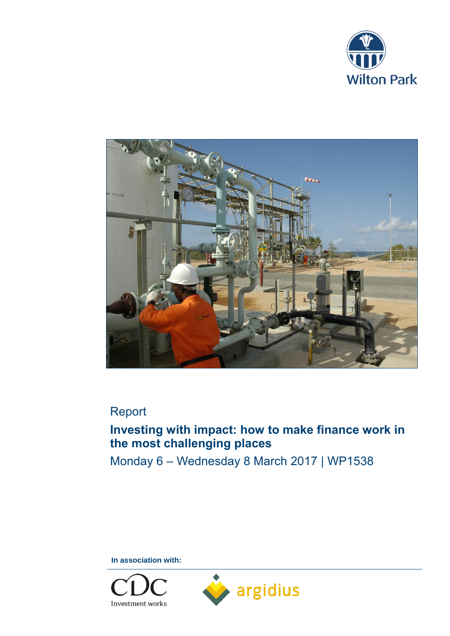



# Report

# **Investing with impact: how to make finance work in the most challenging places**

Monday 6 – Wednesday 8 March 2017 | WP1538

**In association with:** 

Investment works

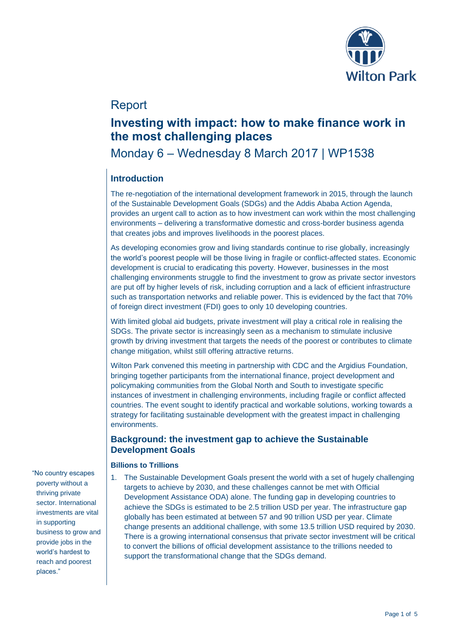

## Report

## **Investing with impact: how to make finance work in the most challenging places**

## Monday 6 – Wednesday 8 March 2017 | WP1538

### **Introduction**

The re-negotiation of the international development framework in 2015, through the launch of the Sustainable Development Goals (SDGs) and the Addis Ababa Action Agenda, provides an urgent call to action as to how investment can work within the most challenging environments – delivering a transformative domestic and cross-border business agenda that creates jobs and improves livelihoods in the poorest places.

As developing economies grow and living standards continue to rise globally, increasingly the world's poorest people will be those living in fragile or conflict-affected states. Economic development is crucial to eradicating this poverty. However, businesses in the most challenging environments struggle to find the investment to grow as private sector investors are put off by higher levels of risk, including corruption and a lack of efficient infrastructure such as transportation networks and reliable power. This is evidenced by the fact that 70% of foreign direct investment (FDI) goes to only 10 developing countries.

With limited global aid budgets, private investment will play a critical role in realising the SDGs. The private sector is increasingly seen as a mechanism to stimulate inclusive growth by driving investment that targets the needs of the poorest or contributes to climate change mitigation, whilst still offering attractive returns.

Wilton Park convened this meeting in partnership with CDC and the Argidius Foundation, bringing together participants from the international finance, project development and policymaking communities from the Global North and South to investigate specific instances of investment in challenging environments, including fragile or conflict affected countries. The event sought to identify practical and workable solutions, working towards a strategy for facilitating sustainable development with the greatest impact in challenging environments.

### **Background: the investment gap to achieve the Sustainable Development Goals**

#### **Billions to Trillions**

1. The Sustainable Development Goals present the world with a set of hugely challenging targets to achieve by 2030, and these challenges cannot be met with Official Development Assistance ODA) alone. The funding gap in developing countries to achieve the SDGs is estimated to be 2.5 trillion USD per year. The infrastructure gap globally has been estimated at between 57 and 90 trillion USD per year. Climate change presents an additional challenge, with some 13.5 trillion USD required by 2030. There is a growing international consensus that private sector investment will be critical to convert the billions of official development assistance to the trillions needed to support the transformational change that the SDGs demand.

"No country escapes poverty without a thriving private sector. International investments are vital in supporting business to grow and provide jobs in the world's hardest to reach and poorest places."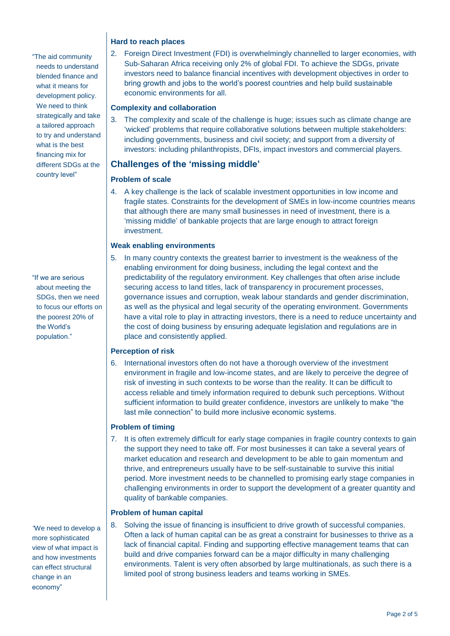"The aid community needs to understand blended finance and what it means for development policy. We need to think strategically and take a tailored approach to try and understand what is the best financing mix for different SDGs at the country level"

"If we are serious about meeting the SDGs, then we need to focus our efforts on the poorest 20% of the World's population."

*"*We need to develop a more sophisticated view of what impact is and how investments can effect structural change in an economy"

#### **Hard to reach places**

2. Foreign Direct Investment (FDI) is overwhelmingly channelled to larger economies, with Sub-Saharan Africa receiving only 2% of global FDI. To achieve the SDGs, private investors need to balance financial incentives with development objectives in order to bring growth and jobs to the world's poorest countries and help build sustainable economic environments for all.

#### **Complexity and collaboration**

3. The complexity and scale of the challenge is huge; issues such as climate change are 'wicked' problems that require collaborative solutions between multiple stakeholders: including governments, business and civil society; and support from a diversity of investors: including philanthropists, DFIs, impact investors and commercial players.

### **Challenges of the 'missing middle'**

#### **Problem of scale**

4. A key challenge is the lack of scalable investment opportunities in low income and fragile states. Constraints for the development of SMEs in low-income countries means that although there are many small businesses in need of investment, there is a 'missing middle' of bankable projects that are large enough to attract foreign investment.

#### **Weak enabling environments**

5. In many country contexts the greatest barrier to investment is the weakness of the enabling environment for doing business, including the legal context and the predictability of the regulatory environment. Key challenges that often arise include securing access to land titles, lack of transparency in procurement processes, governance issues and corruption, weak labour standards and gender discrimination, as well as the physical and legal security of the operating environment. Governments have a vital role to play in attracting investors, there is a need to reduce uncertainty and the cost of doing business by ensuring adequate legislation and regulations are in place and consistently applied.

#### **Perception of risk**

6. International investors often do not have a thorough overview of the investment environment in fragile and low-income states, and are likely to perceive the degree of risk of investing in such contexts to be worse than the reality. It can be difficult to access reliable and timely information required to debunk such perceptions. Without sufficient information to build greater confidence, investors are unlikely to make "the last mile connection" to build more inclusive economic systems.

#### **Problem of timing**

7. It is often extremely difficult for early stage companies in fragile country contexts to gain the support they need to take off. For most businesses it can take a several years of market education and research and development to be able to gain momentum and thrive, and entrepreneurs usually have to be self-sustainable to survive this initial period. More investment needs to be channelled to promising early stage companies in challenging environments in order to support the development of a greater quantity and quality of bankable companies.

#### **Problem of human capital**

8. Solving the issue of financing is insufficient to drive growth of successful companies. Often a lack of human capital can be as great a constraint for businesses to thrive as a lack of financial capital. Finding and supporting effective management teams that can build and drive companies forward can be a major difficulty in many challenging environments. Talent is very often absorbed by large multinationals, as such there is a limited pool of strong business leaders and teams working in SMEs.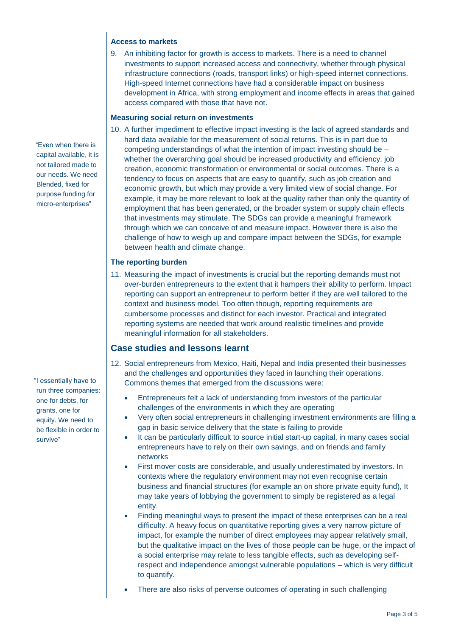#### **Access to markets**

9. An inhibiting factor for growth is access to markets. There is a need to channel investments to support increased access and connectivity, whether through physical infrastructure connections (roads, transport links) or high-speed internet connections. High-speed Internet connections have had a considerable impact on business development in Africa, with strong employment and income effects in areas that gained access compared with those that have not.

#### **Measuring social return on investments**

10. A further impediment to effective impact investing is the lack of agreed standards and hard data available for the measurement of social returns. This is in part due to competing understandings of what the intention of impact investing should be – whether the overarching goal should be increased productivity and efficiency, job creation, economic transformation or environmental or social outcomes. There is a tendency to focus on aspects that are easy to quantify, such as job creation and economic growth, but which may provide a very limited view of social change. For example, it may be more relevant to look at the quality rather than only the quantity of employment that has been generated, or the broader system or supply chain effects that investments may stimulate. The SDGs can provide a meaningful framework through which we can conceive of and measure impact. However there is also the challenge of how to weigh up and compare impact between the SDGs, for example between health and climate change.

#### **The reporting burden**

11. Measuring the impact of investments is crucial but the reporting demands must not over-burden entrepreneurs to the extent that it hampers their ability to perform. Impact reporting can support an entrepreneur to perform better if they are well tailored to the context and business model. Too often though, reporting requirements are cumbersome processes and distinct for each investor. Practical and integrated reporting systems are needed that work around realistic timelines and provide meaningful information for all stakeholders.

### **Case studies and lessons learnt**

- 12. Social entrepreneurs from Mexico, Haiti, Nepal and India presented their businesses and the challenges and opportunities they faced in launching their operations. Commons themes that emerged from the discussions were:
	- Entrepreneurs felt a lack of understanding from investors of the particular challenges of the environments in which they are operating
	- Very often social entrepreneurs in challenging investment environments are filling a gap in basic service delivery that the state is failing to provide
	- It can be particularly difficult to source initial start-up capital, in many cases social entrepreneurs have to rely on their own savings, and on friends and family networks
	- First mover costs are considerable, and usually underestimated by investors. In contexts where the regulatory environment may not even recognise certain business and financial structures (for example an on shore private equity fund), It may take years of lobbying the government to simply be registered as a legal entity.
	- Finding meaningful ways to present the impact of these enterprises can be a real difficulty. A heavy focus on quantitative reporting gives a very narrow picture of impact, for example the number of direct employees may appear relatively small, but the qualitative impact on the lives of those people can be huge, or the impact of a social enterprise may relate to less tangible effects, such as developing selfrespect and independence amongst vulnerable populations – which is very difficult to quantify.
	- There are also risks of perverse outcomes of operating in such challenging

 "Even when there is capital available, it is not tailored made to our needs. We need Blended, fixed for purpose funding for micro-enterprises"

"I essentially have to run three companies: one for debts, for grants, one for equity. We need to be flexible in order to survive"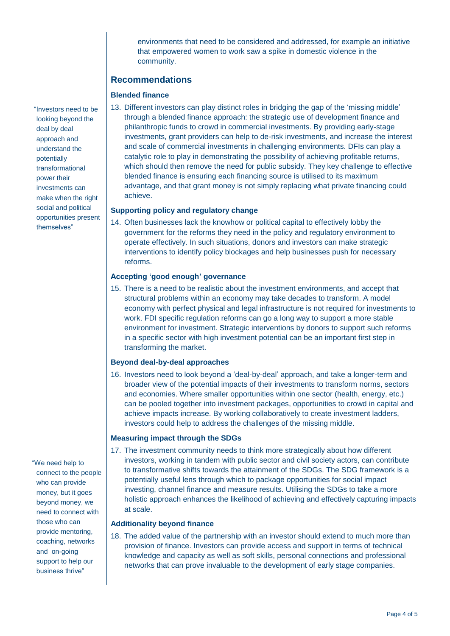environments that need to be considered and addressed, for example an initiative that empowered women to work saw a spike in domestic violence in the community.

### **Recommendations**

#### **Blended finance**

13. Different investors can play distinct roles in bridging the gap of the 'missing middle' through a blended finance approach: the strategic use of development finance and philanthropic funds to crowd in commercial investments. By providing early-stage investments, grant providers can help to de-risk investments, and increase the interest and scale of commercial investments in challenging environments. DFIs can play a catalytic role to play in demonstrating the possibility of achieving profitable returns, which should then remove the need for public subsidy. They key challenge to effective blended finance is ensuring each financing source is utilised to its maximum advantage, and that grant money is not simply replacing what private financing could achieve.

#### **Supporting policy and regulatory change**

14. Often businesses lack the knowhow or political capital to effectively lobby the government for the reforms they need in the policy and regulatory environment to operate effectively. In such situations, donors and investors can make strategic interventions to identify policy blockages and help businesses push for necessary reforms.

#### **Accepting 'good enough' governance**

15. There is a need to be realistic about the investment environments, and accept that structural problems within an economy may take decades to transform. A model economy with perfect physical and legal infrastructure is not required for investments to work. FDI specific regulation reforms can go a long way to support a more stable environment for investment. Strategic interventions by donors to support such reforms in a specific sector with high investment potential can be an important first step in transforming the market.

#### **Beyond deal-by-deal approaches**

16. Investors need to look beyond a 'deal-by-deal' approach, and take a longer-term and broader view of the potential impacts of their investments to transform norms, sectors and economies. Where smaller opportunities within one sector (health, energy, etc.) can be pooled together into investment packages, opportunities to crowd in capital and achieve impacts increase. By working collaboratively to create investment ladders, investors could help to address the challenges of the missing middle.

#### **Measuring impact through the SDGs**

17. The investment community needs to think more strategically about how different investors, working in tandem with public sector and civil society actors, can contribute to transformative shifts towards the attainment of the SDGs. The SDG framework is a potentially useful lens through which to package opportunities for social impact investing, channel finance and measure results. Utilising the SDGs to take a more holistic approach enhances the likelihood of achieving and effectively capturing impacts at scale.

#### **Additionality beyond finance**

18. The added value of the partnership with an investor should extend to much more than provision of finance. Investors can provide access and support in terms of technical knowledge and capacity as well as soft skills, personal connections and professional networks that can prove invaluable to the development of early stage companies.

"Investors need to be looking beyond the deal by deal approach and understand the potentially transformational power their investments can make when the right social and political opportunities present themselves"

"We need help to connect to the people who can provide money, but it goes beyond money, we need to connect with those who can provide mentoring, coaching, networks and on-going support to help our business thrive"